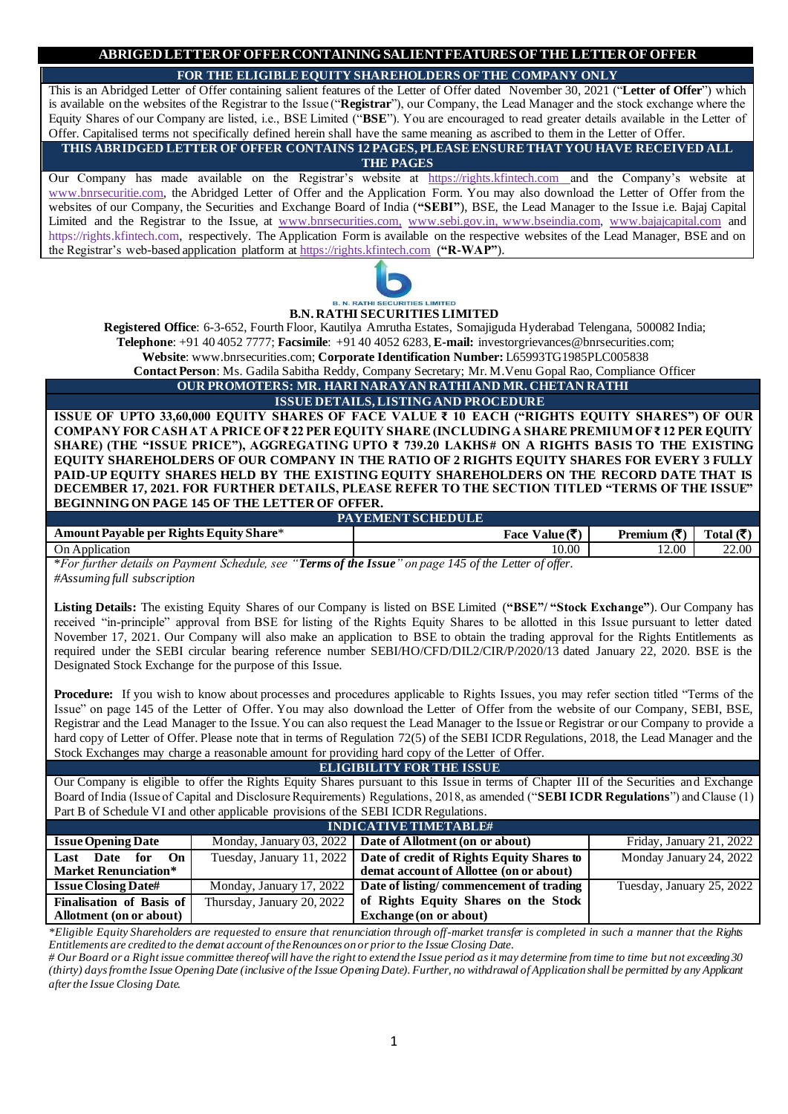**FOR THE ELIGIBLE EQUITY SHAREHOLDERS OF THE COMPANY ONLY**

This is an Abridged Letter of Offer containing salient features of the Letter of Offer dated November 30, 2021 ("**Letter of Offer**") which is available on the websites of the Registrar to the Issue ("**Registrar**"), our Company, the Lead Manager and the stock exchange where the Equity Shares of our Company are listed, i.e., BSE Limited ("**BSE**"). You are encouraged to read greater details available in the Letter of Offer. Capitalised terms not specifically defined herein shall have the same meaning as ascribed to them in the Letter of Offer.

**THIS ABRIDGED LETTER OF OFFER CONTAINS 12 PAGES, PLEASE ENSURE THAT YOU HAVE RECEIVED ALL THE PAGES**

Our Company has made available on the Registrar's website at https://rights.kfintech.com and the Company's website at [www.bnrsecuritie.com,](http://www.bnrsecuritie.com/) the Abridged Letter of Offer and the Application Form. You may also download the Letter of Offer from the websites of our Company, the Securities and Exchange Board of India (**"SEBI"**), BSE, the Lead Manager to the Issue i.e. Bajaj Capital Limited and the Registrar to the Issue, at [www.bnrsecurities.com](http://www.bnrsecurities.com/)[,](http://www.kesocorp.com/) [www.sebi.gov.in, w](http://www.sebi.gov.in/)ww.bseindia.com, [www.bajajcapital.com](http://www.damcapital.in/) and [https://rights.kfintech.com,](https://rights.kfintech.com/) respectively. The Application Form is available on the respective websites of the Lead Manager, BSE and on the Registrar's web-based application platform at [https://rights.kfintech.com](https://rights.kfintech.com/) (**"R-WAP"**).



# **B.N. RATHI SECURITIES LIMITED**

**Registered Office**: 6-3-652, Fourth Floor, Kautilya Amrutha Estates, Somajiguda Hyderabad Telengana, 500082 India; **Telephone**: +91 40 4052 7777; **Facsimile**: +91 40 4052 6283, **E-mail:** investorgrievances@bnrsecurities.com;

**Website**: [www.bnrsecurities.com;](http://www.bnrsecurities.com/) **Corporate Identification Number:** L65993TG1985PLC005838

**Contact Person**: Ms. Gadila Sabitha Reddy, Company Secretary; Mr. M.Venu Gopal Rao, Compliance Officer **OUR PROMOTERS: MR. HARI NARAYAN RATHI AND MR. CHETAN RATHI**

**ISSUE DETAILS, LISTING AND PROCEDURE**

**ISSUE OF UPTO 33,60,000 EQUITY SHARES OF FACE VALUE ₹ 10 EACH ("RIGHTS EQUITY SHARES") OF OUR COMPANY FOR CASH AT A PRICE OF ₹ 22 PER EQUITY SHARE (INCLUDING A SHARE PREMIUM OF ₹ 12 PER EQUITY SHARE) (THE "ISSUE PRICE"), AGGREGATING UPTO ₹ 739.20 LAKHS# ON A RIGHTS BASIS TO THE EXISTING EQUITY SHAREHOLDERS OF OUR COMPANY IN THE RATIO OF 2 RIGHTS EQUITY SHARES FOR EVERY 3 FULLY PAID-UP EQUITY SHARES HELD BY THE EXISTING EQUITY SHAREHOLDERS ON THE RECORD DATE THAT IS DECEMBER 17, 2021. FOR FURTHER DETAILS, PLEASE REFER TO THE SECTION TITLED "TERMS OF THE ISSUE" BEGINNING ON PAGE 145 OF THE LETTER OF OFFER.**

| <b>PAYEMENT SCHEDULE</b>                |                    |                 |                                |  |  |
|-----------------------------------------|--------------------|-----------------|--------------------------------|--|--|
| Amount Payable per Rights Equity Share* | Value (₹<br>Face N | 79 M<br>Premium | Total $\mathcal{\overline{R}}$ |  |  |
| On Application                          | 10.00              | 12.00           | 22.00                          |  |  |
| $\mathbf{v}$<br>66.777<br>$\sim$<br>r   | $\overline{1}$     |                 |                                |  |  |

\**For further details on Payment Schedule, see "Terms of the Issue" on page 145 of the Letter of offer. #Assuming full subscription*

**Listing Details:** The existing Equity Shares of our Company is listed on BSE Limited (**"BSE"/ "Stock Exchange"**). Our Company has received "in-principle" approval from BSE for listing of the Rights Equity Shares to be allotted in this Issue pursuant to letter dated November 17, 2021. Our Company will also make an application to BSE to obtain the trading approval for the Rights Entitlements as required under the SEBI circular bearing reference number SEBI/HO/CFD/DIL2/CIR/P/2020/13 dated January 22, 2020. BSE is the Designated Stock Exchange for the purpose of this Issue.

**Procedure:** If you wish to know about processes and procedures applicable to Rights Issues, you may refer section titled "Terms of the Issue" on page 145 of the Letter of Offer. You may also download the Letter of Offer from the website of our Company, SEBI, BSE, Registrar and the Lead Manager to the Issue. You can also request the Lead Manager to the Issue or Registrar or our Company to provide a hard copy of Letter of Offer. Please note that in terms of Regulation 72(5) of the SEBI ICDR Regulations, 2018, the Lead Manager and the Stock Exchanges may charge a reasonable amount for providing hard copy of the Letter of Offer.

**ELIGIBILITY FOR THE ISSUE**

Our Company is eligible to offer the Rights Equity Shares pursuant to this Issue in terms of Chapter III of the Securities and Exchange Board of India (Issue of Capital and Disclosure Requirements) Regulations, 2018, as amended ("**SEBI ICDR Regulations**") and Clause (1) Part B of Schedule VI and other applicable provisions of the SEBI ICDR Regulations.

| <b>INDICATIVE TIMETABLE#</b>   |                                      |                                                                       |                           |  |
|--------------------------------|--------------------------------------|-----------------------------------------------------------------------|---------------------------|--|
| <b>Issue Opening Date</b>      |                                      | Monday, January 03, 2022   Date of Allotment (on or about)            | Friday, January 21, 2022  |  |
| On<br>for<br>Date<br>Last      |                                      | Tuesday, January 11, 2022   Date of credit of Rights Equity Shares to | Monday January 24, 2022   |  |
| <b>Market Renunciation*</b>    |                                      | demat account of Allottee (on or about)                               |                           |  |
| <b>Issue Closing Date#</b>     | Monday, January 17, 2022 $\parallel$ | Date of listing/commencement of trading                               | Tuesday, January 25, 2022 |  |
| Finalisation of Basis of       | Thursday, January 20, 2022           | of Rights Equity Shares on the Stock                                  |                           |  |
| <b>Allotment</b> (on or about) |                                      | <b>Exchange (on or about)</b>                                         |                           |  |

*\*Eligible Equity Shareholders are requested to ensure that renunciation through off-market transfer is completed in such a manner that the Rights Entitlements are credited to the demat account of the Renounces on or prior to the Issue Closing Date.*

*# Our Board or a Right issue committee thereof will have the right to extend the Issue period as it may determine from time to time but not exceeding 30 (thirty) days from the Issue Opening Date (inclusive of the Issue Opening Date). Further, no withdrawal of Application shall be permitted by any Applicant after the Issue Closing Date.*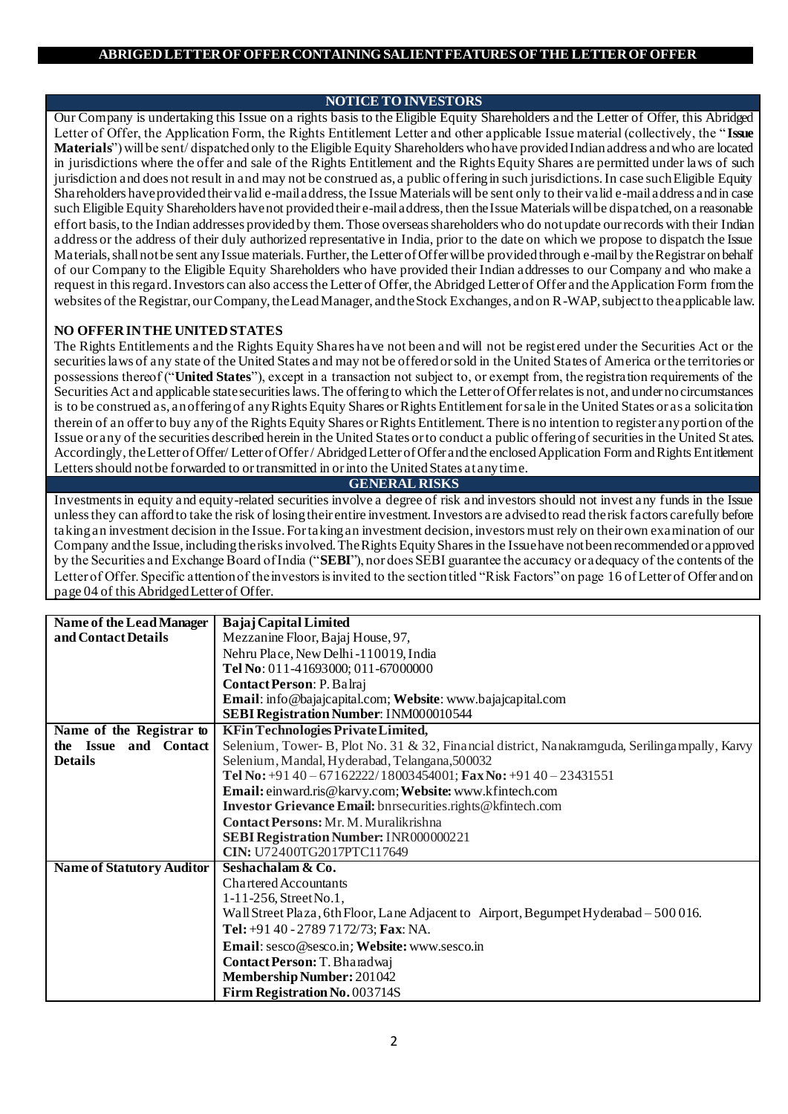# **NOTICE TO INVESTORS**

Our Company is undertaking this Issue on a rights basis to the Eligible Equity Shareholders and the Letter of Offer, this Abridged Letter of Offer, the Application Form, the Rights Entitlement Letter and other applicable Issue material (collectively, the " **Issue Materials**") will be sent/ dispatched only to the Eligible Equity Shareholders who have provided Indian address and who are located in jurisdictions where the offer and sale of the Rights Entitlement and the Rights Equity Shares are permitted under laws of such jurisdiction and does not result in and may not be construed as, a public offering in such jurisdictions. In case such Eligible Equity Shareholders have provided their valid e-mail address, the Issue Materials will be sent only to their valid e-mailaddress and in case such Eligible Equity Shareholders have not provided their e-mail address, then the Issue Materials will be dispatched, on a reasonable effort basis, to the Indian addresses provided by them. Those overseas shareholders who do not update our records with their Indian address or the address of their duly authorized representative in India, prior to the date on which we propose to dispatch the Issue Materials, shall not be sent any Issue materials. Further, the Letter of Offer will be provided through e-mail by the Registrar on behalf of our Company to the Eligible Equity Shareholders who have provided their Indian addresses to our Company and who make a request in this regard. Investors can also access the Letter of Offer, the Abridged Letter of Offer and the Application Form from the websites of the Registrar, our Company, the Lead Manager, and the Stock Exchanges, and on R-WAP, subject to the applicable law.

# **NO OFFER IN THE UNITED STATES**

The Rights Entitlements and the Rights Equity Shares have not been and will not be regist ered under the Securities Act or the securities laws of any state of the United States and may not be offered or sold in the United States of America or the territories or possessions thereof ("**United States**"), except in a transaction not subject to, or exempt from, the registration requirements of the Securities Act and applicable state securities laws. The offering to which the Letter of Offer relates is not, and under no circumstances is to be construed as, an offering of any Rights Equity Shares or Rights Entitlement for sale in the United States or as a solicitation therein of an offer to buy any of the Rights Equity Shares or Rights Entitlement. There is no intention to register any portion of the Issue or any of the securities described herein in the United States or to conduct a public offering of securities in the United St ates. Accordingly, theLetter of Offer/ Letter of Offer / Abridged Letter of Offer and the enclosed Application Form and Rights Entitlement Letters should not be forwarded to or transmitted in or into the United States at any time.

# **GENERAL RISKS**

Investments in equity and equity-related securities involve a degree of risk and investors should not invest any funds in the Issue unless they can afford to take the risk of losing their entire investment. Investors are advised to read the risk factors carefully before taking an investment decision in the Issue. For taking an investment decision, investors must rely on their own examination of our Company and the Issue, including the risks involved. The Rights Equity Shares in the Issue have not been recommended or approved by the Securities and Exchange Board of India ("**SEBI**"), nor does SEBI guarantee the accuracy or adequacy of the contents of the Letter of Offer. Specific attention of the investors is invited to the section titled "Risk Factors" on page 16 of Letter of Offer and on page 04 of this Abridged Letter of Offer.

| <b>Name of the Lead Manager</b>  | <b>Bajaj Capital Limited</b>                                                                  |  |  |  |
|----------------------------------|-----------------------------------------------------------------------------------------------|--|--|--|
| and Contact Details              | Mezzanine Floor, Bajaj House, 97,                                                             |  |  |  |
|                                  | Nehru Place, New Delhi-110019, India                                                          |  |  |  |
|                                  | Tel No: 011-41693000; 011-67000000                                                            |  |  |  |
|                                  | Contact Person: P. Balraj                                                                     |  |  |  |
|                                  | Email: info@bajajcapital.com; Website: www.bajajcapital.com                                   |  |  |  |
|                                  | SEBI Registration Number: INM000010544                                                        |  |  |  |
| Name of the Registrar to         | KFin Technologies Private Limited,                                                            |  |  |  |
| the Issue and Contact            | Selenium, Tower-B, Plot No. 31 & 32, Financial district, Nanakramguda, Serilingampally, Karvy |  |  |  |
| <b>Details</b>                   | Selenium, Mandal, Hyderabad, Telangana, 500032                                                |  |  |  |
|                                  | Tel No: +91 40 - 671 62222/18003454001; Fax No: +91 40 - 23431551                             |  |  |  |
|                                  | Email: einward.ris@karvy.com; Website: www.kfintech.com                                       |  |  |  |
|                                  | Investor Grievance Email: bnrsecurities.rights@kfintech.com                                   |  |  |  |
|                                  | Contact Persons: Mr. M. Muralikrishna                                                         |  |  |  |
|                                  | SEBI Registration Number: INR000000221                                                        |  |  |  |
|                                  | CIN: U72400TG2017PTC117649                                                                    |  |  |  |
| <b>Name of Statutory Auditor</b> | Seshachalam & Co.                                                                             |  |  |  |
|                                  | <b>Chartered Accountants</b>                                                                  |  |  |  |
|                                  | $1-11-256$ , Street No.1,                                                                     |  |  |  |
|                                  | Wall Street Plaza, 6th Floor, Lane Adjacent to Airport, Begumpet Hyderabad - 500 016.         |  |  |  |
|                                  | Tel: +91 40 - 2789 7172/73; Fax: NA.                                                          |  |  |  |
|                                  | Email: sesco@sesco.in; Website: www.sesco.in                                                  |  |  |  |
|                                  | Contact Person: T. Bharadwaj                                                                  |  |  |  |
|                                  | <b>Membership Number: 201042</b>                                                              |  |  |  |
|                                  | Firm Registration No. 003714S                                                                 |  |  |  |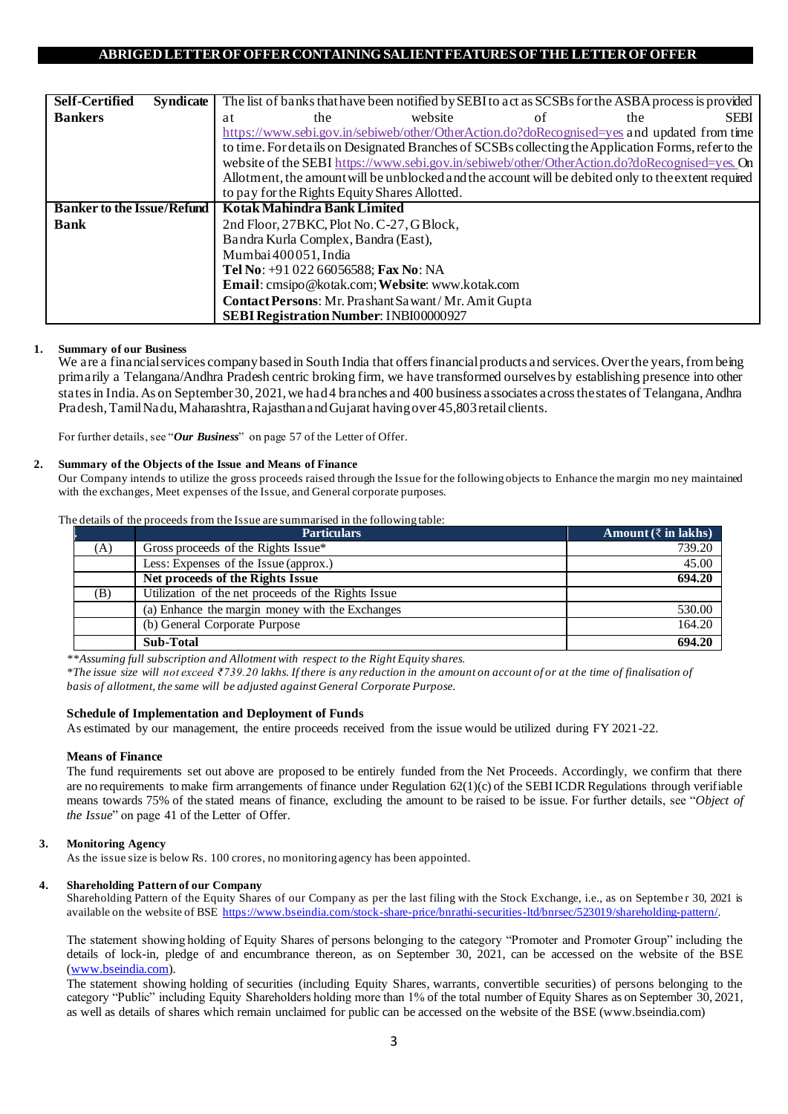| <b>Self-Certified</b>             | <b>Syndicate</b> |    |                                           | The list of banks that have been notified by SEBI to act as SCSBs for the ASBA process is provided  |    |     |             |
|-----------------------------------|------------------|----|-------------------------------------------|-----------------------------------------------------------------------------------------------------|----|-----|-------------|
| <b>Bankers</b>                    |                  | at | the                                       | website                                                                                             | ot | the | <b>SEBI</b> |
|                                   |                  |    |                                           | https://www.sebi.gov.in/sebiweb/other/OtherAction.do?doRecognised=yes and updated from time         |    |     |             |
|                                   |                  |    |                                           | to time. For details on Designated Branches of SCSBs collecting the Application Forms, refer to the |    |     |             |
|                                   |                  |    |                                           | website of the SEBI https://www.sebi.gov.in/sebiweb/other/OtherAction.do?doRecognised=yes. On       |    |     |             |
|                                   |                  |    |                                           | Allotment, the amount will be unblocked and the account will be debited only to the extent required |    |     |             |
|                                   |                  |    |                                           | to pay for the Rights Equity Shares Allotted.                                                       |    |     |             |
| <b>Banker to the Issue/Refund</b> |                  |    | Kotak Mahindra Bank Limited               |                                                                                                     |    |     |             |
| <b>Bank</b>                       |                  |    | 2nd Floor, 27BKC, Plot No. C-27, G Block, |                                                                                                     |    |     |             |
|                                   |                  |    | Bandra Kurla Complex, Bandra (East),      |                                                                                                     |    |     |             |
|                                   |                  |    | Mumbai 400051, India                      |                                                                                                     |    |     |             |
|                                   |                  |    | Tel No: +91 022 66056588; Fax No: NA      |                                                                                                     |    |     |             |
|                                   |                  |    |                                           | Email: cmsipo@kotak.com; Website: www.kotak.com                                                     |    |     |             |
|                                   |                  |    |                                           | Contact Persons: Mr. Prashant Sawant/Mr. Amit Gupta                                                 |    |     |             |
|                                   |                  |    |                                           | SEBI Registration Number: INBI00000927                                                              |    |     |             |

### **1. Summary of our Business**

We are a financial services company based in South India that offers financial products and services. Over the years, from being primarily a Telangana/Andhra Pradesh centric broking firm, we have transformed ourselves by establishing presence into other states in India. As on September 30, 2021, we had 4 branches and 400 business associates across the states of Telangana, Andhra Pradesh, Tamil Nadu, Maharashtra, Rajasthan and Gujarat having over 45,803 retail clients.

For further details, see "*Our Business*" on page 57 of the Letter of Offer.

### **2. Summary of the Objects of the Issue and Means of Finance**

Our Company intends to utilize the gross proceeds raised through the Issue for the following objects to Enhance the margin mo ney maintained with the exchanges, Meet expenses of the Issue, and General corporate purposes.

The details of the proceeds from the Issue are summarised in the following table:

|     | <b>Particulars</b>                                  | Amount $(\bar{z}$ in lakhs) |
|-----|-----------------------------------------------------|-----------------------------|
| (A) | Gross proceeds of the Rights Issue*                 | 739.20                      |
|     | Less: Expenses of the Issue (approx.)               | 45.00                       |
|     | Net proceeds of the Rights Issue                    | 694.20                      |
| (B) | Utilization of the net proceeds of the Rights Issue |                             |
|     | (a) Enhance the margin money with the Exchanges     | 530.00                      |
|     | (b) General Corporate Purpose                       | 164.20                      |
|     | Sub-Total                                           | 694.20                      |

*\*\*Assuming full subscription and Allotment with respect to the Right Equity shares.*

*\*The issue size will not exceed ₹739.20 lakhs. If there is any reduction in the amount on account of or at the time of finalisation of basis of allotment, the same will be adjusted against General Corporate Purpose.*

### **Schedule of Implementation and Deployment of Funds**

As estimated by our management, the entire proceeds received from the issue would be utilized during FY 2021-22.

## **Means of Finance**

The fund requirements set out above are proposed to be entirely funded from the Net Proceeds. Accordingly, we confirm that there are no requirements to make firm arrangements of finance under Regulation 62(1)(c) of the SEBI ICDR Regulations through verifiable means towards 75% of the stated means of finance, excluding the amount to be raised to be issue. For further details, see "*Object of the Issue*" on page 41 of the Letter of Offer.

## **3. Monitoring Agency**

As the issue size is below Rs. 100 crores, no monitoring agency has been appointed.

### **4. Shareholding Pattern of our Company**

Shareholding Pattern of the Equity Shares of our Company as per the last filing with the Stock Exchange, i.e., as on Septembe r 30, 2021 is available on the website of BSE<https://www.bseindia.com/stock-share-price/bnrathi-securities-ltd/bnrsec/523019/shareholding-pattern/>.

The statement showing holding of Equity Shares of persons belonging to the category "Promoter and Promoter Group" including the details of lock-in, pledge of and encumbrance thereon, as on September 30, 2021, can be accessed on the website of the BSE [\(www.bseindia.com\)](http://www.bseindia.com/).

The statement showing holding of securities (including Equity Shares, warrants, convertible securities) of persons belonging to the category "Public" including Equity Shareholders holding more than 1% of the total number of Equity Shares as on September 30, 2021, as well as details of shares which remain unclaimed for public can be accessed on the website of the BSE (www.bseindia.com)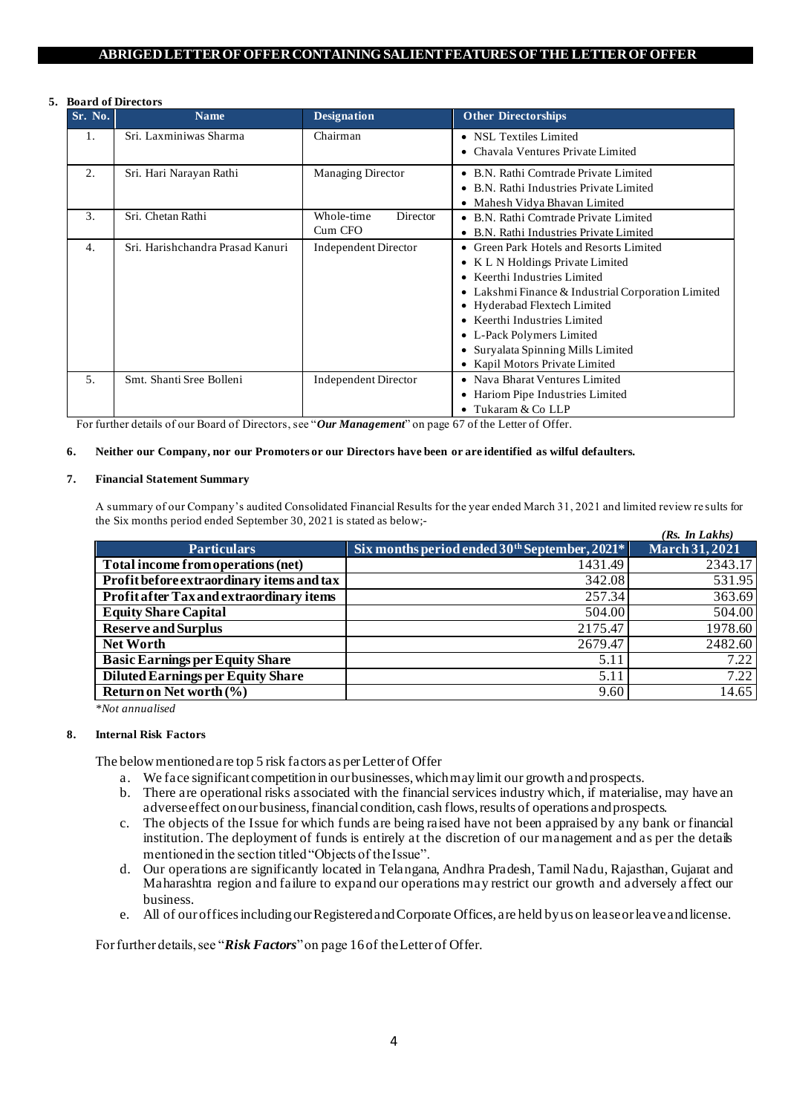#### **5. Board of Directors**

| Sr. No.        | board of Directors<br><b>Name</b> | <b>Designation</b>                                                       | <b>Other Directorships</b>                                                                                                                                                                                                                                                                                                           |
|----------------|-----------------------------------|--------------------------------------------------------------------------|--------------------------------------------------------------------------------------------------------------------------------------------------------------------------------------------------------------------------------------------------------------------------------------------------------------------------------------|
| 1.             | Sri. Laxminiwas Sharma            | Chairman<br>• NSL Textiles Limited<br>• Chavala Ventures Private Limited |                                                                                                                                                                                                                                                                                                                                      |
| 2.             | Sri. Hari Narayan Rathi           | Managing Director                                                        | • B.N. Rathi Comtrade Private Limited<br>• B.N. Rathi Industries Private Limited<br>• Mahesh Vidya Bhavan Limited                                                                                                                                                                                                                    |
| 3.             | Sri. Chetan Rathi                 | Whole-time<br><b>Director</b><br>Cum CFO                                 | • B.N. Rathi Comtrade Private Limited<br>• B.N. Rathi Industries Private Limited                                                                                                                                                                                                                                                     |
| 4.             | Sri. Harishchandra Prasad Kanuri  | <b>Independent Director</b>                                              | • Green Park Hotels and Resorts Limited<br>• K L N Holdings Private Limited<br>• Keerthi Industries Limited<br>Lakshmi Finance & Industrial Corporation Limited<br>• Hyderabad Flextech Limited<br>• Keerthi Industries Limited<br>• L-Pack Polymers Limited<br>• Survalata Spinning Mills Limited<br>• Kapil Motors Private Limited |
| 5 <sub>1</sub> | Smt. Shanti Sree Bolleni          | <b>Independent Director</b>                                              | • Nava Bharat Ventures Limited<br>Hariom Pipe Industries Limited<br>$\bullet$<br>Tukaram & Co LLP                                                                                                                                                                                                                                    |

For further details of our Board of Directors, see "*Our Management*" on page 67 of the Letter of Offer.

### **6. Neither our Company, nor our Promoters or our Directors have been or are identified as wilful defaulters.**

#### **7. Financial Statement Summary**

A summary of our Company's audited Consolidated Financial Results for the year ended March 31, 2021 and limited review re sults for the Six months period ended September 30, 2021 is stated as below;- *(Rs. In Lakhs)*

|                                                 |                                                           | (Ks. In Lakhs)        |
|-------------------------------------------------|-----------------------------------------------------------|-----------------------|
| <b>Particulars</b>                              | Six months period ended 30 <sup>th</sup> September, 2021* | <b>March 31, 2021</b> |
| Total income from operations (net)              | 1431.49                                                   | 2343.17               |
| Profit before extraordinary items and tax       | 342.08                                                    | 531.95                |
| <b>Profit after Tax and extraordinary items</b> | 257.34                                                    | 363.69                |
| <b>Equity Share Capital</b>                     | 504.00                                                    | 504.00                |
| <b>Reserve and Surplus</b>                      | 2175.47                                                   | 1978.60               |
| <b>Net Worth</b>                                | 2679.47                                                   | 2482.60               |
| <b>Basic Earnings per Equity Share</b>          | 5.11                                                      | 7.22                  |
| <b>Diluted Earnings per Equity Share</b>        | 5.11                                                      | 7.22                  |
| <b>Return on Net worth <math>(\% )</math></b>   | 9.60                                                      | 14.65                 |

*\*Not annualised*

### **8. Internal Risk Factors**

The below mentioned are top 5 risk factors as per Letter of Offer

- a. We face significant competition in our businesses, which may limit our growth and prospects.
- b. There are operational risks associated with the financial services industry which, if materialise, may have an adverse effect on our business, financial condition, cash flows, results of operations and prospects.
- c. The objects of the Issue for which funds are being raised have not been appraised by any bank or financial institution. The deployment of funds is entirely at the discretion of our management and as per the details mentioned in the section titled "Objects of the Issue".
- d. Our operations are significantly located in Telangana, Andhra Pradesh, Tamil Nadu, Rajasthan, Gujarat and Maharashtra region and failure to expand our operations may restrict our growth and adversely affect our business.
- e. All of our offices including our Registered and Corporate Offices, are held by us on lease or leave and license.

For further details, see "*Risk Factors*" on page 16of the Letter of Offer.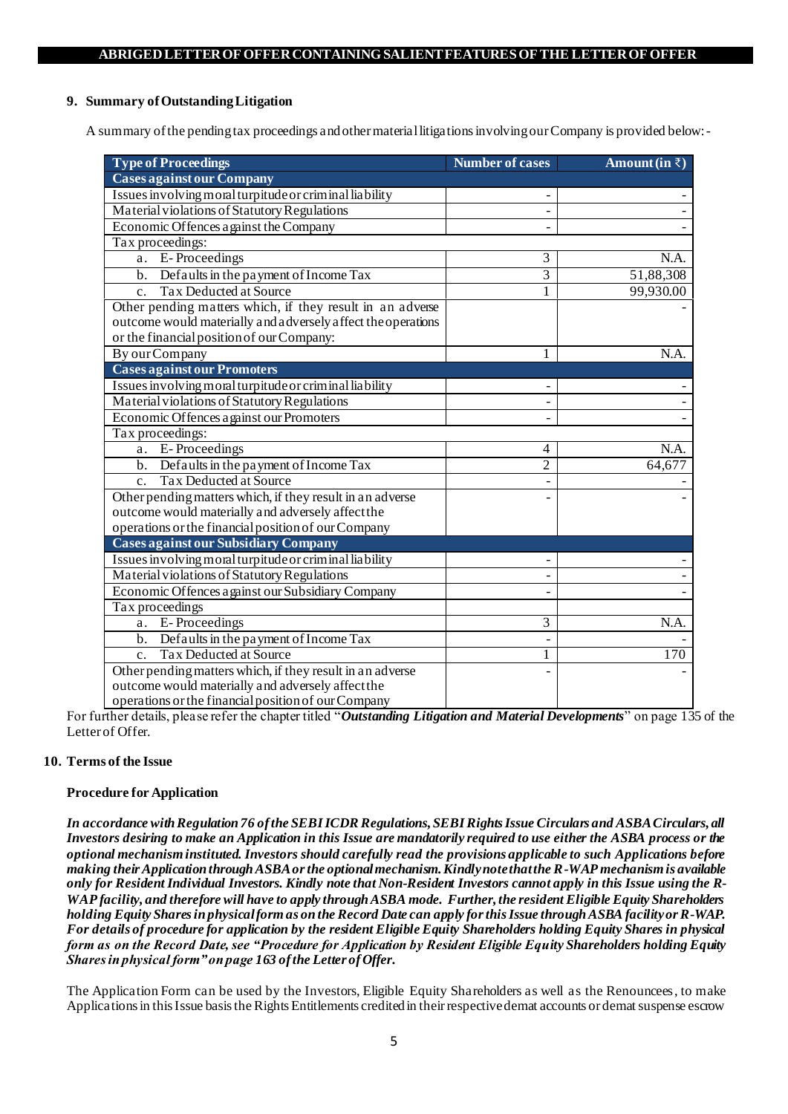# **9. Summary of Outstanding Litigation**

A summary of the pending tax proceedings and other material litigations involving our Company is provided below:-

| <b>Type of Proceedings</b>                                   | <b>Number of cases</b> | Amount (in $\bar{z}$ ) |
|--------------------------------------------------------------|------------------------|------------------------|
| <b>Cases against our Company</b>                             |                        |                        |
| Issues involving moral turpitude or criminal liability       |                        |                        |
| Material violations of Statutory Regulations                 |                        |                        |
| Economic Offences against the Company                        |                        |                        |
| Tax proceedings:                                             |                        |                        |
| E-Proceedings<br>a.                                          | 3                      | N.A.                   |
| b. Defaults in the payment of Income Tax                     | $\overline{3}$         | 51,88,308              |
| <b>Tax Deducted at Source</b><br>$\mathbf{c}$ .              | 1                      | 99,930.00              |
| Other pending matters which, if they result in an adverse    |                        |                        |
| outcome would materially and adversely affect the operations |                        |                        |
| or the financial position of our Company:                    |                        |                        |
| By our Company                                               | 1                      | N.A.                   |
| <b>Cases against our Promoters</b>                           |                        |                        |
| Issues involving moral turpitude or criminal liability       |                        |                        |
| Material violations of Statutory Regulations                 |                        |                        |
| Economic Offences against our Promoters                      |                        |                        |
| Tax proceedings:                                             |                        |                        |
| E-Proceedings<br>a.                                          | 4                      | N.A.                   |
| b. Defaults in the payment of Income Tax                     | $\overline{2}$         | 64,677                 |
| <b>Tax Deducted at Source</b><br>$\mathbf{c}$ .              |                        |                        |
| Other pending matters which, if they result in an adverse    |                        |                        |
| outcome would materially and adversely affect the            |                        |                        |
| operations or the financial position of our Company          |                        |                        |
| <b>Cases against our Subsidiary Company</b>                  |                        |                        |
| Issues involving moral turpitude or criminal liability       |                        |                        |
| Material violations of Statutory Regulations                 |                        |                        |
| Economic Offences a gainst our Subsidiary Company            |                        |                        |
| Tax proceedings                                              |                        |                        |
| E-Proceedings<br>a.                                          | 3                      | N.A.                   |
| b. Defaults in the payment of Income Tax                     |                        |                        |
| <b>Tax Deducted at Source</b><br>$\mathbf{c}$ .              | 1                      | $\overline{170}$       |
| Other pending matters which, if they result in an adverse    |                        |                        |
| outcome would materially and adversely affect the            |                        |                        |
| operations or the financial position of our Company          |                        |                        |

For further details, please refer the chapter titled "*Outstanding Litigation and Material Developments*" on page 135 of the Letter of Offer.

# **10. Terms of the Issue**

## **Procedure for Application**

*In accordance with Regulation 76 of the SEBI ICDR Regulations, SEBI Rights Issue Circulars and ASBA Circulars, all Investors desiring to make an Application in this Issue are mandatorily required to use either the ASBA process or the optional mechanism instituted. Investors should carefully read the provisions applicable to such Applications before making their Application through ASBA or the optional mechanism. Kindly note that the R-WAP mechanism is available only for Resident Individual Investors. Kindly note that Non-Resident Investors cannot apply in this Issue using the R-WAP facility, and therefore will have to apply through ASBA mode. Further, the resident Eligible Equity Shareholders holding Equity Shares in physical form as on the Record Date can apply for this Issue through ASBA facility or R-WAP. For details of procedure for application by the resident Eligible Equity Shareholders holding Equity Shares in physical form as on the Record Date, see "Procedure for Application by Resident Eligible Equity Shareholders holding Equity Shares in physical form" on page 163 of the Letter of Offer.*

The Application Form can be used by the Investors, Eligible Equity Shareholders as well as the Renouncees, to make Applications in this Issue basis the Rights Entitlements credited in their respective demat accounts or demat suspense escrow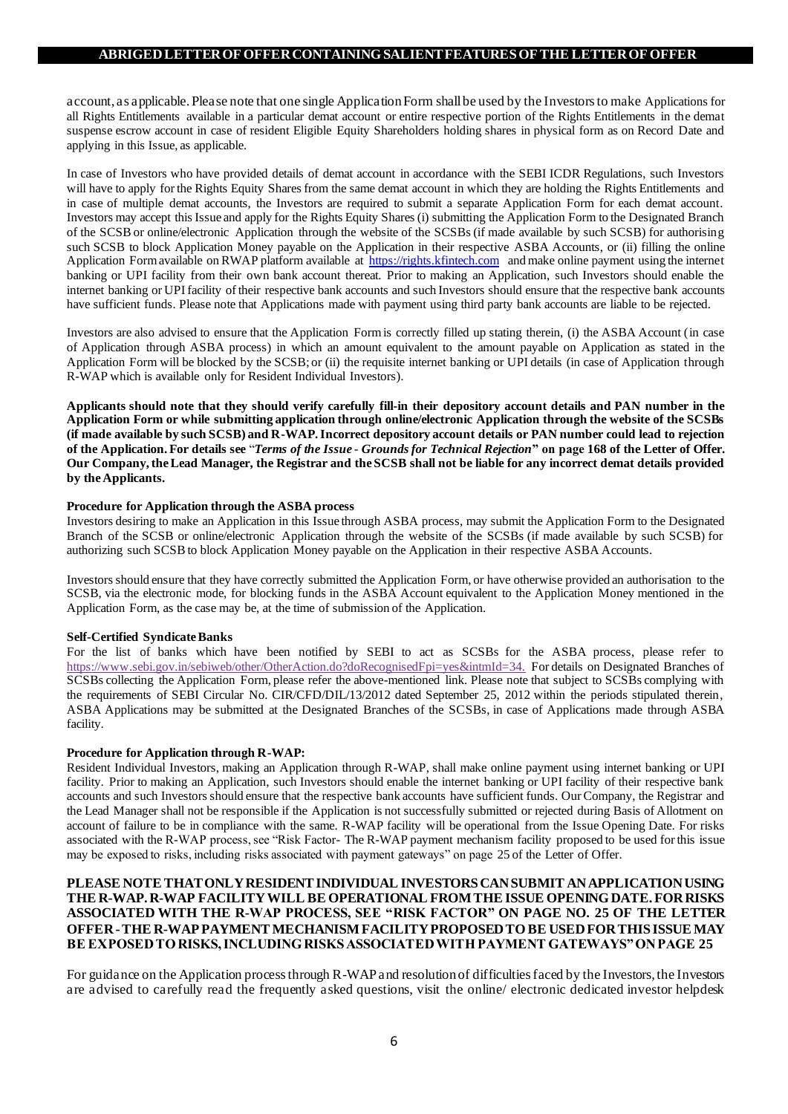account, as applicable. Please note that one single Application Form shall be used by the Investors to make Applications for all Rights Entitlements available in a particular demat account or entire respective portion of the Rights Entitlements in the demat suspense escrow account in case of resident Eligible Equity Shareholders holding shares in physical form as on Record Date and applying in this Issue, as applicable.

In case of Investors who have provided details of demat account in accordance with the SEBI ICDR Regulations, such Investors will have to apply for the Rights Equity Shares from the same demat account in which they are holding the Rights Entitlements and in case of multiple demat accounts, the Investors are required to submit a separate Application Form for each demat account. Investors may accept this Issue and apply for the Rights Equity Shares (i) submitting the Application Form to the Designated Branch of the SCSB or online/electronic Application through the website of the SCSBs (if made available by such SCSB) for authorising such SCSB to block Application Money payable on the Application in their respective ASBA Accounts, or (ii) filling the online Application Form available on RWAP platform available at  $\frac{\text{https://right.s.}$  Kfintech.com and make online payment using the internet banking or UPI facility from their own bank account thereat. Prior to making an Application, such Investors should enable the internet banking or UPI facility of their respective bank accounts and such Investors should ensure that the respective bank accounts have sufficient funds. Please note that Applications made with payment using third party bank accounts are liable to be rejected.

Investors are also advised to ensure that the Application Form is correctly filled up stating therein, (i) the ASBA Account (in case of Application through ASBA process) in which an amount equivalent to the amount payable on Application as stated in the Application Form will be blocked by the SCSB; or (ii) the requisite internet banking or UPI details (in case of Application through R-WAP which is available only for Resident Individual Investors).

**Applicants should note that they should verify carefully fill-in their depository account details and PAN number in the Application Form or while submitting application through online/electronic Application through the website of the SCSBs (if made available by such SCSB) and R-WAP. Incorrect depository account details or PAN number could lead to rejection of the Application. For details see** "*Terms of the Issue - Grounds for Technical Rejection***" on page 168 of the Letter of Offer. Our Company, the Lead Manager, the Registrar and the SCSB shall not be liable for any incorrect demat details provided by the Applicants.**

### **Procedure for Application through the ASBA process**

Investors desiring to make an Application in this Issue through ASBA process, may submit the Application Form to the Designated Branch of the SCSB or online/electronic Application through the website of the SCSBs (if made available by such SCSB) for authorizing such SCSB to block Application Money payable on the Application in their respective ASBA Accounts.

Investors should ensure that they have correctly submitted the Application Form, or have otherwise provided an authorisation to the SCSB, via the electronic mode, for blocking funds in the ASBA Account equivalent to the Application Money mentioned in the Application Form, as the case may be, at the time of submission of the Application.

## **Self-Certified Syndicate Banks**

For the list of banks which have been notified by SEBI to act as SCSBs for the ASBA process, please refer to https://www.sebi.gov.in/sebiweb/other/OtherAction.do?doRecognisedFpi=yes&intmId=34. For details on Designated Branches of SCSBs collecting the Application Form, please refer the above-mentioned link. Please note that subject to SCSBs complying with the requirements of SEBI Circular No. CIR/CFD/DIL/13/2012 dated September 25, 2012 within the periods stipulated therein, ASBA Applications may be submitted at the Designated Branches of the SCSBs, in case of Applications made through ASBA facility.

### **Procedure for Application through R-WAP:**

Resident Individual Investors, making an Application through R-WAP, shall make online payment using internet banking or UPI facility. Prior to making an Application, such Investors should enable the internet banking or UPI facility of their respective bank accounts and such Investors should ensure that the respective bank accounts have sufficient funds. Our Company, the Registrar and the Lead Manager shall not be responsible if the Application is not successfully submitted or rejected during Basis of Allotment on account of failure to be in compliance with the same. R-WAP facility will be operational from the Issue Opening Date. For risks associated with the R-WAP process, see "Risk Factor- The R-WAP payment mechanism facility proposed to be used for this issue may be exposed to risks, including risks associated with payment gateways" on page 25 of the Letter of Offer.

# **PLEASE NOTE THAT ONLY RESIDENT INDIVIDUAL INVESTORS CAN SUBMIT AN APPLICATION USING THE R-WAP. R-WAP FACILITY WILL BE OPERATIONAL FROM THE ISSUE OPENING DATE. FOR RISKS ASSOCIATED WITH THE R-WAP PROCESS, SEE "RISK FACTOR" ON PAGE NO. 25 OF THE LETTER OFFER -THE R-WAP PAYMENT MECHANISM FACILITY PROPOSED TO BE USED FOR THIS ISSUE MAY BE EXPOSED TO RISKS, INCLUDING RISKS ASSOCIATED WITH PAYMENT GATEWAYS" ON PAGE 25**

For guidance on the Application process through R-WAP and resolution of difficulties faced by the Investors, the Investors are advised to carefully read the frequently asked questions, visit the online/ electronic dedicated investor helpdesk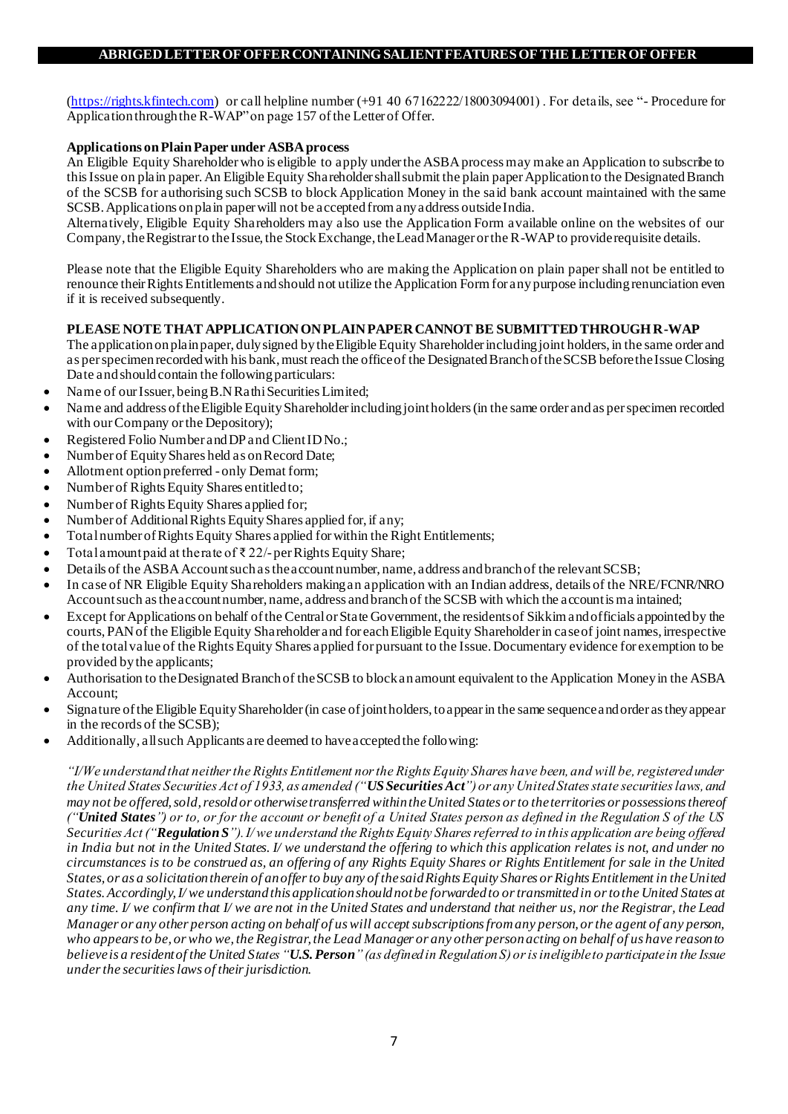[\(https://rights.kfintech.com\)](https://rights.kfintech.com/) or call helpline number (+91 40 67162222/18003094001) . For details, see "- Procedure for Application through the R-WAP" on page 157 of the Letter of Offer.

# **Applications on Plain Paper under ASBA process**

An Eligible Equity Shareholder who is eligible to apply under the ASBA process may make an Application to subscribe to this Issue on plain paper. An Eligible Equity Shareholder shall submit the plain paper Application to the Designated Branch of the SCSB for authorising such SCSB to block Application Money in the said bank account maintained with the same SCSB. Applications on plain paper will not be accepted from any address outside India.

Alternatively, Eligible Equity Shareholders may also use the Application Form available online on the websites of our Company, the Registrar to the Issue, the Stock Exchange, the Lead Manager or the R-WAP to provide requisite details.

Please note that the Eligible Equity Shareholders who are making the Application on plain paper shall not be entitled to renounce their Rights Entitlements and should not utilize the Application Form for any purpose including renunciation even if it is received subsequently.

# **PLEASE NOTE THAT APPLICATION ON PLAIN PAPER CANNOT BE SUBMITTED THROUGH R-WAP**

The application on plain paper, duly signed by the Eligible Equity Shareholder including joint holders, in the same order and as per specimen recorded with his bank, must reach the office of the Designated Branch of the SCSB before the Issue Closing Date and should contain the following particulars:

- Name of our Issuer, being B.N Rathi Securities Limited;
- Name and address of the Eligible Equity Shareholder including joint holders (in the same order and as per specimen recorded with our Company or the Depository);
- Registered Folio Number and DP and Client ID No.;
- Number of Equity Shares held as on Record Date;
- Allotment option preferred only Demat form;
- Number of Rights Equity Shares entitled to;
- Number of Rights Equity Shares applied for;
- Number of Additional Rights Equity Shares applied for, if any;
- Total number of Rights Equity Shares applied for within the Right Entitlements;
- Total amount paid at the rate of  $\bar{\tau}$  22/- per Rights Equity Share;
- Details of the ASBA Account such as the account number, name, address and branch of the relevant SCSB;
- In case of NR Eligible Equity Shareholders making an application with an Indian address, details of the NRE/FCNR/NRO Account such as the account number, name, address and branch of the SCSB with which the account is ma intained;
- Except for Applications on behalf of the Central or State Government, the residents of Sikkim and officials appointed by the courts, PAN of the Eligible Equity Shareholder and for each Eligible Equity Shareholder in case of joint names, irrespective of the total value of the Rights Equity Shares applied for pursuant to the Issue. Documentary evidence for exemption to be provided by the applicants;
- Authorisation to the Designated Branch of the SCSB to block an amount equivalent to the Application Money in the ASBA Account;
- Signature of the Eligible Equity Shareholder (in case of joint holders, to appear in the same sequence and order as they appear in the records of the SCSB);
- Additionally, all such Applicants are deemed to have accepted the following:

*"I/We understand that neither the Rights Entitlement nor the Rights Equity Shares have been, and will be, registered under the United States Securities Act of 1933, as amended ("US Securities Act") or any United States state securities laws, and may not be offered, sold, resold or otherwise transferred within the United States or to the territories or possessions thereof ("United States") or to, or for the account or benefit of a United States person as defined in the Regulation S of the US Securities Act ("Regulation S"). I/ we understand the Rights Equity Shares referred to in this application are being offered in India but not in the United States. I/ we understand the offering to which this application relates is not, and under no circumstances is to be construed as, an offering of any Rights Equity Shares or Rights Entitlement for sale in the United States, or as a solicitation therein of an offer to buy any of the said Rights Equity Shares or Rights Entitlement in the United States. Accordingly, I/ we understand this application should not be forwarded to or transmitted in or to the United States at any time. I/ we confirm that I/ we are not in the United States and understand that neither us, nor the Registrar, the Lead Manager or any other person acting on behalf of us will accept subscriptions from any person, or the agent of any person, who appears to be, or who we, the Registrar, the Lead Manager or any other person acting on behalf of us have reason to believe is a resident of the United States "U.S. Person" (as defined in Regulation S) or is ineligible to participate in the Issue under the securities laws of their jurisdiction.*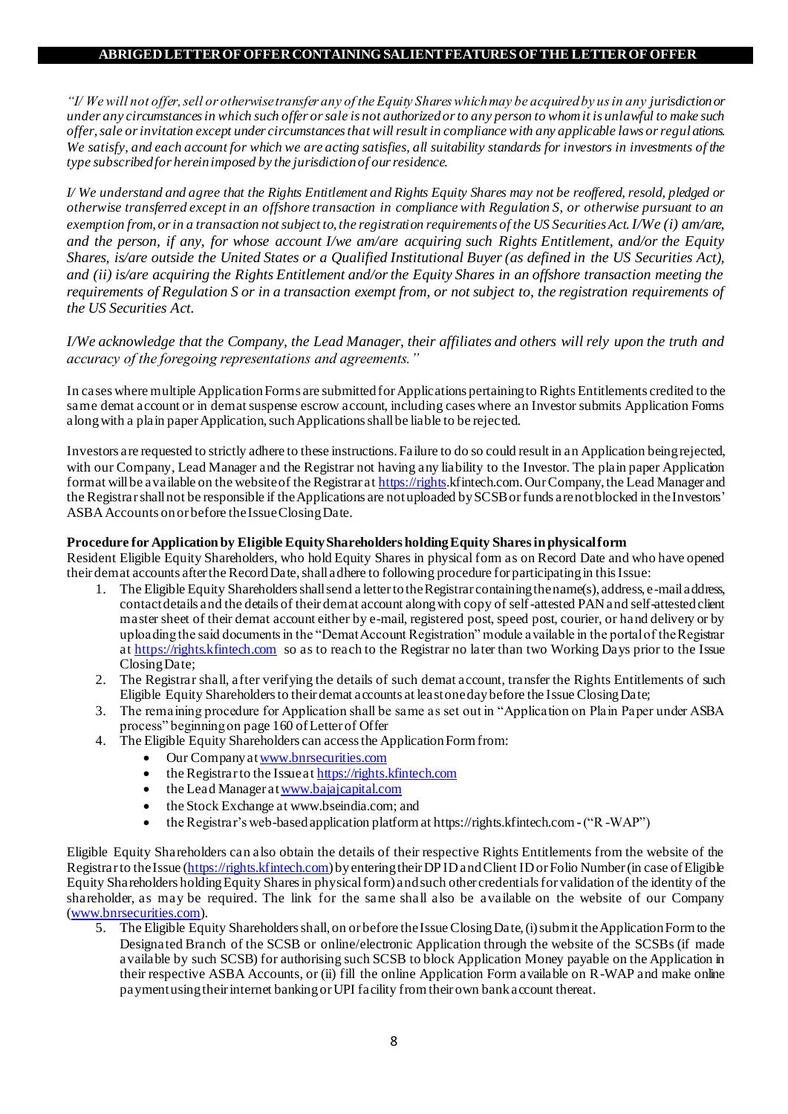*"I/ We will not offer, sell or otherwise transfer any of the Equity Shares which may be acquired by us in any jurisdiction or under any circumstances in which such offer or sale is not authorized or to any person to whom it is unlawful to make such offer, sale or invitation except under circumstances that will result in compliance with any applicable laws or regul ations. We satisfy, and each account for which we are acting satisfies, all suitability standards for investors in investments of the type subscribed for herein imposed by the jurisdiction of our residence.*

*I/ We understand and agree that the Rights Entitlement and Rights Equity Shares may not be reoffered, resold, pledged or otherwise transferred except in an offshore transaction in compliance with Regulation S, or otherwise pursuant to an exemption from, or in a transaction not subject to, the registration requirements of the US Securities Act.I/We (i) am/are, and the person, if any, for whose account I/we am/are acquiring such Rights Entitlement, and/or the Equity Shares, is/are outside the United States or a Qualified Institutional Buyer (as defined in the US Securities Act), and (ii) is/are acquiring the Rights Entitlement and/or the Equity Shares in an offshore transaction meeting the requirements of Regulation S or in a transaction exempt from, or not subject to, the registration requirements of the US Securities Act.*

*I/We acknowledge that the Company, the Lead Manager, their affiliates and others will rely upon the truth and accuracy of the foregoing representations and agreements."*

In cases where multiple Application Forms are submitted for Applications pertaining to Rights Entitlements credited to the same demat account or in demat suspense escrow account, including cases where an Investor submits Application Forms along with a plain paper Application, such Applications shall be liable to be rejected.

Investors are requested to strictly adhere to these instructions. Failure to do so could result in an Application being rejected, with our Company, Lead Manager and the Registrar not having any liability to the Investor. The plain paper Application format will be available on the website of the Registrar a[t https://rights](https://rights/).kfintech.com. Our Company, the Lead Manager and the Registrar shall not be responsible if the Applications are not uploaded by SCSB or funds are not blocked in the Investors' ASBA Accounts on or before the Issue Closing Date.

## **Procedure for Application by Eligible Equity Shareholders holding Equity Shares in physical form**

Resident Eligible Equity Shareholders, who hold Equity Shares in physical form as on Record Date and who have opened their demat accounts after the Record Date, shall adhere to following procedure for participating in this Issue:

- 1. The Eligible Equity Shareholders shall send a letter to the Registrar containing the name(s), address, e-mail address, contact details and the details of their demat account along with copy of self-attested PAN and self-attested client master sheet of their demat account either by e-mail, registered post, speed post, courier, or hand delivery or by uploading the said documents in the "Demat Account Registration" module available in the portal of the Registrar a[t https://rights.kfintech.com](https://rights.kfintech.com/) so as to reach to the Registrar no later than two Working Days prior to the Issue Closing Date;
- 2. The Registrar shall, after verifying the details of such demat account, transfer the Rights Entitlements of such Eligible Equity Shareholders to their demat accounts at least one day before the Issue Closing Date;
- 3. The remaining procedure for Application shall be same as set out in "Application on Plain Paper under ASBA process" beginning on page 160 of Letter of Offer
- 4. The Eligible Equity Shareholders can access the Application Form from:
	- Our Company a[t www.bnrsecurities.com](http://www.bnrsecurities.com/)
	- the Registrar to the Issue a[t https://rights.kfintech.com](https://rights.kfintech.com/)
	- the Lead Manager a[t www.bajajcapital.com](http://www.bajajcapital.com/)
	- the Stock Exchange a[t www.bseindia.com](http://www.bseindia.com/); and
	- the Registrar's web-based application platform a[t https://rights.kfintech.com](https://rights.kfintech.com/) **-**("R -WAP")

Eligible Equity Shareholders can also obtain the details of their respective Rights Entitlements from the website of the Registrar to the Issue [\(https://rights.kfintech.com](https://rights.kfintech.com/)) by entering their DP ID and Client ID or Folio Number (in case of Eligible Equity Shareholders holding Equity Shares in physical form) and such other credentials for validation of the identity of the shareholder, as may be required. The link for the same shall also be available on the website of our Company [\(www.bnrsecurities.com](http://www.bnrsecurities.com/)).

5. The Eligible Equity Shareholders shall, on or before the Issue Closing Date, (i) submit the Application Form to the Designated Branch of the SCSB or online/electronic Application through the website of the SCSBs (if made available by such SCSB) for authorising such SCSB to block Application Money payable on the Application in their respective ASBA Accounts, or (ii) fill the online Application Form available on R-WAP and make online payment using their internet banking or UPI facility from their own bank account thereat.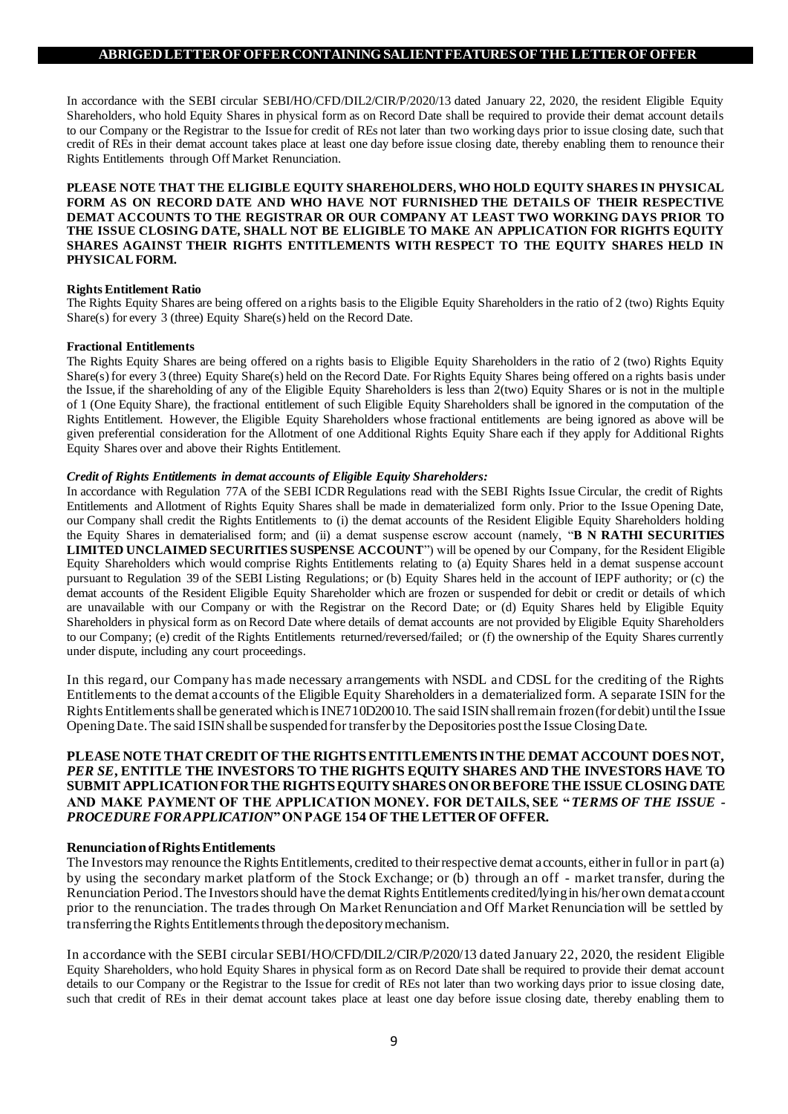In accordance with the SEBI circular SEBI/HO/CFD/DIL2/CIR/P/2020/13 dated January 22, 2020, the resident Eligible Equity Shareholders, who hold Equity Shares in physical form as on Record Date shall be required to provide their demat account details to our Company or the Registrar to the Issue for credit of REs not later than two working days prior to issue closing date, such that credit of REs in their demat account takes place at least one day before issue closing date, thereby enabling them to renounce their Rights Entitlements through Off Market Renunciation.

### **PLEASE NOTE THAT THE ELIGIBLE EQUITY SHAREHOLDERS, WHO HOLD EQUITY SHARES IN PHYSICAL FORM AS ON RECORD DATE AND WHO HAVE NOT FURNISHED THE DETAILS OF THEIR RESPECTIVE DEMAT ACCOUNTS TO THE REGISTRAR OR OUR COMPANY AT LEAST TWO WORKING DAYS PRIOR TO THE ISSUE CLOSING DATE, SHALL NOT BE ELIGIBLE TO MAKE AN APPLICATION FOR RIGHTS EQUITY SHARES AGAINST THEIR RIGHTS ENTITLEMENTS WITH RESPECT TO THE EQUITY SHARES HELD IN PHYSICAL FORM.**

### **Rights Entitlement Ratio**

The Rights Equity Shares are being offered on a rights basis to the Eligible Equity Shareholders in the ratio of 2 (two) Rights Equity Share(s) for every 3 (three) Equity Share(s) held on the Record Date.

#### **Fractional Entitlements**

The Rights Equity Shares are being offered on a rights basis to Eligible Equity Shareholders in the ratio of 2 (two) Rights Equity Share(s) for every 3 (three) Equity Share(s) held on the Record Date. For Rights Equity Shares being offered on a rights basis under the Issue, if the shareholding of any of the Eligible Equity Shareholders is less than 2(two) Equity Shares or is not in the multiple of 1 (One Equity Share), the fractional entitlement of such Eligible Equity Shareholders shall be ignored in the computation of the Rights Entitlement. However, the Eligible Equity Shareholders whose fractional entitlements are being ignored as above will be given preferential consideration for the Allotment of one Additional Rights Equity Share each if they apply for Additional Rights Equity Shares over and above their Rights Entitlement.

### *Credit of Rights Entitlements in demat accounts of Eligible Equity Shareholders:*

In accordance with Regulation 77A of the SEBI ICDR Regulations read with the SEBI Rights Issue Circular, the credit of Rights Entitlements and Allotment of Rights Equity Shares shall be made in dematerialized form only. Prior to the Issue Opening Date, our Company shall credit the Rights Entitlements to (i) the demat accounts of the Resident Eligible Equity Shareholders holding the Equity Shares in dematerialised form; and (ii) a demat suspense escrow account (namely, "**B N RATHI SECURITIES LIMITED UNCLAIMED SECURITIES SUSPENSE ACCOUNT**") will be opened by our Company, for the Resident Eligible Equity Shareholders which would comprise Rights Entitlements relating to (a) Equity Shares held in a demat suspense account pursuant to Regulation 39 of the SEBI Listing Regulations; or (b) Equity Shares held in the account of IEPF authority; or (c) the demat accounts of the Resident Eligible Equity Shareholder which are frozen or suspended for debit or credit or details of which are unavailable with our Company or with the Registrar on the Record Date; or (d) Equity Shares held by Eligible Equity Shareholders in physical form as on Record Date where details of demat accounts are not provided by Eligible Equity Shareholders to our Company; (e) credit of the Rights Entitlements returned/reversed/failed; or (f) the ownership of the Equity Shares currently under dispute, including any court proceedings.

In this regard, our Company has made necessary arrangements with NSDL and CDSL for the crediting of the Rights Entitlements to the demat accounts of the Eligible Equity Shareholders in a dematerialized form. A separate ISIN for the Rights Entitlements shall be generated which is INE710D20010. The said ISIN shall remain frozen (for debit) until the Issue Opening Date. The said ISIN shall be suspended for transfer by the Depositories post the Issue Closing Date.

## **PLEASE NOTE THAT CREDIT OF THE RIGHTS ENTITLEMENTS IN THE DEMAT ACCOUNT DOES NOT,**  *PER SE***, ENTITLE THE INVESTORS TO THE RIGHTS EQUITY SHARES AND THE INVESTORS HAVE TO SUBMIT APPLICATION FOR THE RIGHTS EQUITY SHARES ON OR BEFORE THE ISSUE CLOSING DATE AND MAKE PAYMENT OF THE APPLICATION MONEY. FOR DETAILS, SEE "***TERMS OF THE ISSUE - PROCEDURE FOR APPLICATION***" ON PAGE 154 OF THE LETTER OF OFFER.**

### **Renunciation of Rights Entitlements**

The Investors may renounce the Rights Entitlements, credited to their respective demat accounts, either in full or in part (a) by using the secondary market platform of the Stock Exchange; or (b) through an off - market transfer, during the Renunciation Period. The Investors should have the demat Rights Entitlements credited/lying in his/her own demat account prior to the renunciation. The trades through On Market Renunciation and Off Market Renunciation will be settled by transferring the Rights Entitlements through the depository mechanism.

In accordance with the SEBI circular SEBI/HO/CFD/DIL2/CIR/P/2020/13 dated January 22, 2020, the resident Eligible Equity Shareholders, who hold Equity Shares in physical form as on Record Date shall be required to provide their demat account details to our Company or the Registrar to the Issue for credit of REs not later than two working days prior to issue closing date, such that credit of REs in their demat account takes place at least one day before issue closing date, thereby enabling them to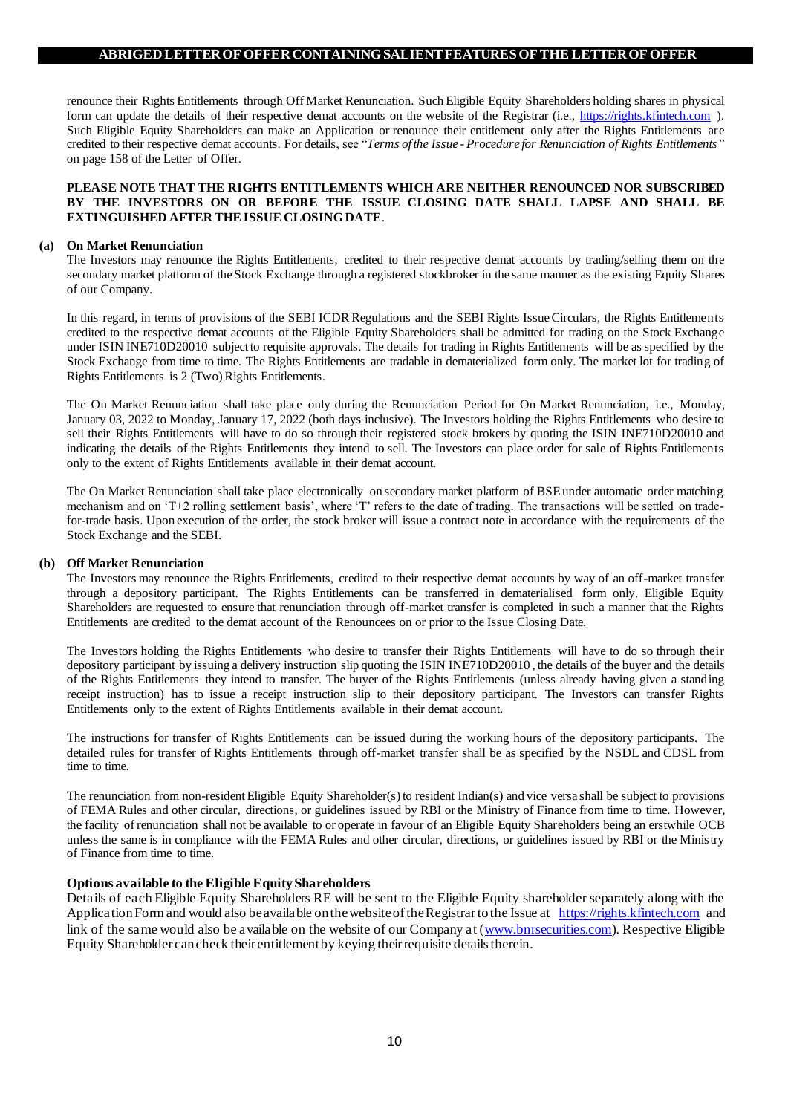renounce their Rights Entitlements through Off Market Renunciation. Such Eligible Equity Shareholders holding shares in physical form can update the details of their respective demat accounts on the website of the Registrar (i.e., [https://rights.kfintech.com](https://rights.kfintech.com/) ). Such Eligible Equity Shareholders can make an Application or renounce their entitlement only after the Rights Entitlements are credited to their respective demat accounts. For details, see "*Terms of the Issue - Procedure for Renunciation of Rights Entitlements* " on page 158 of the Letter of Offer.

### **PLEASE NOTE THAT THE RIGHTS ENTITLEMENTS WHICH ARE NEITHER RENOUNCED NOR SUBSCRIBED BY THE INVESTORS ON OR BEFORE THE ISSUE CLOSING DATE SHALL LAPSE AND SHALL BE EXTINGUISHED AFTER THE ISSUE CLOSING DATE**.

#### **(a) On Market Renunciation**

The Investors may renounce the Rights Entitlements, credited to their respective demat accounts by trading/selling them on the secondary market platform of the Stock Exchange through a registered stockbroker in the same manner as the existing Equity Shares of our Company.

In this regard, in terms of provisions of the SEBI ICDR Regulations and the SEBI Rights Issue Circulars, the Rights Entitlements credited to the respective demat accounts of the Eligible Equity Shareholders shall be admitted for trading on the Stock Exchange under ISIN INE710D20010 subject to requisite approvals. The details for trading in Rights Entitlements will be as specified by the Stock Exchange from time to time. The Rights Entitlements are tradable in dematerialized form only. The market lot for trading of Rights Entitlements is 2 (Two) Rights Entitlements.

The On Market Renunciation shall take place only during the Renunciation Period for On Market Renunciation, i.e., Monday, January 03, 2022 to Monday, January 17, 2022 (both days inclusive). The Investors holding the Rights Entitlements who desire to sell their Rights Entitlements will have to do so through their registered stock brokers by quoting the ISIN INE710D20010 and indicating the details of the Rights Entitlements they intend to sell. The Investors can place order for sale of Rights Entitlements only to the extent of Rights Entitlements available in their demat account.

The On Market Renunciation shall take place electronically on secondary market platform of BSE under automatic order matching mechanism and on 'T+2 rolling settlement basis', where 'T' refers to the date of trading. The transactions will be settled on tradefor-trade basis. Upon execution of the order, the stock broker will issue a contract note in accordance with the requirements of the Stock Exchange and the SEBI.

### **(b) Off Market Renunciation**

The Investors may renounce the Rights Entitlements, credited to their respective demat accounts by way of an off-market transfer through a depository participant. The Rights Entitlements can be transferred in dematerialised form only. Eligible Equity Shareholders are requested to ensure that renunciation through off-market transfer is completed in such a manner that the Rights Entitlements are credited to the demat account of the Renouncees on or prior to the Issue Closing Date.

The Investors holding the Rights Entitlements who desire to transfer their Rights Entitlements will have to do so through their depository participant by issuing a delivery instruction slip quoting the ISIN INE710D20010 , the details of the buyer and the details of the Rights Entitlements they intend to transfer. The buyer of the Rights Entitlements (unless already having given a standing receipt instruction) has to issue a receipt instruction slip to their depository participant. The Investors can transfer Rights Entitlements only to the extent of Rights Entitlements available in their demat account.

The instructions for transfer of Rights Entitlements can be issued during the working hours of the depository participants. The detailed rules for transfer of Rights Entitlements through off-market transfer shall be as specified by the NSDL and CDSL from time to time.

The renunciation from non-resident Eligible Equity Shareholder(s) to resident Indian(s) and vice versa shall be subject to provisions of FEMA Rules and other circular, directions, or guidelines issued by RBI or the Ministry of Finance from time to time. However, the facility of renunciation shall not be available to or operate in favour of an Eligible Equity Shareholders being an erstwhile OCB unless the same is in compliance with the FEMA Rules and other circular, directions, or guidelines issued by RBI or the Ministry of Finance from time to time.

### **Options available to the Eligible Equity Shareholders**

Details of each Eligible Equity Shareholders RE will be sent to the Eligible Equity shareholder separately along with the Application Form and would also be available on the website of the Registrar to the Issue at [https://rights.kfintech.com](https://rights.kfintech.com/) and link of the same would also be available on the website of our Company at [\(www.bnrsecurities.com](http://www.bnrsecurities.com/)). Respective Eligible Equity Shareholder can check their entitlement by keying their requisite details therein.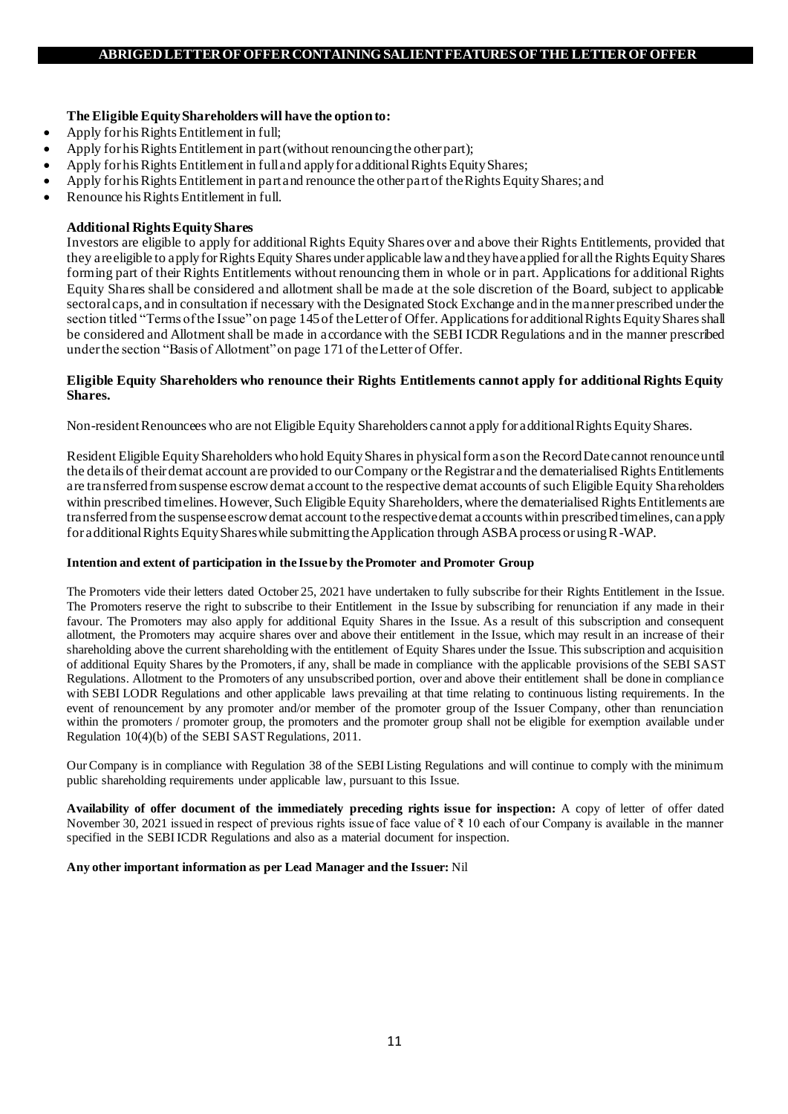# **The Eligible Equity Shareholders will have the option to:**

- Apply for his Rights Entitlement in full;
- Apply for his Rights Entitlement in part (without renouncing the other part);
- Apply for his Rights Entitlement in full and apply for additional Rights Equity Shares;
- Apply for his Rights Entitlement in part and renounce the other part of the Rights Equity Shares; and
- Renounce his Rights Entitlement in full.

## **Additional Rights Equity Shares**

Investors are eligible to apply for additional Rights Equity Shares over and above their Rights Entitlements, provided that they are eligible to apply for Rights Equity Shares under applicable law and they have applied for all the Rights Equity Shares forming part of their Rights Entitlements without renouncing them in whole or in part. Applications for additional Rights Equity Shares shall be considered and allotment shall be made at the sole discretion of the Board, subject to applicable sectoral caps, and in consultation if necessary with the Designated Stock Exchange and in the manner prescribed under the section titled "Terms of the Issue" on page 145of the Letter of Offer. Applications for additional Rights Equity Shares shall be considered and Allotment shall be made in accordance with the SEBI ICDR Regulations and in the manner prescribed under the section "Basis of Allotment" on page 171of the Letter of Offer.

### **Eligible Equity Shareholders who renounce their Rights Entitlements cannot apply for additional Rights Equity Shares.**

Non-resident Renouncees who are not Eligible Equity Shareholders cannot apply for additional Rights Equity Shares.

Resident Eligible Equity Shareholders who hold Equity Shares in physical form as on the Record Date cannot renounce until the details of their demat account are provided to our Company or the Registrar and the dematerialised Rights Entitlements are transferred from suspense escrow demat account to the respective demat accounts of such Eligible Equity Shareholders within prescribed timelines. However, Such Eligible Equity Shareholders, where the dematerialised Rights Entitlements are transferred from the suspense escrow demat account to the respective demat accounts within prescribed timelines, can apply for additional Rights Equity Shares while submitting the Application through ASBA process or using R-WAP.

### **Intention and extent of participation in the Issue by the Promoter and Promoter Group**

The Promoters vide their letters dated October 25, 2021 have undertaken to fully subscribe for their Rights Entitlement in the Issue. The Promoters reserve the right to subscribe to their Entitlement in the Issue by subscribing for renunciation if any made in their favour. The Promoters may also apply for additional Equity Shares in the Issue. As a result of this subscription and consequent allotment, the Promoters may acquire shares over and above their entitlement in the Issue, which may result in an increase of their shareholding above the current shareholding with the entitlement of Equity Shares under the Issue. This subscription and acquisition of additional Equity Shares by the Promoters, if any, shall be made in compliance with the applicable provisions of the SEBI SAST Regulations. Allotment to the Promoters of any unsubscribed portion, over and above their entitlement shall be done in compliance with SEBI LODR Regulations and other applicable laws prevailing at that time relating to continuous listing requirements. In the event of renouncement by any promoter and/or member of the promoter group of the Issuer Company, other than renunciation within the promoters / promoter group, the promoters and the promoter group shall not be eligible for exemption available under Regulation 10(4)(b) of the SEBI SAST Regulations, 2011.

Our Company is in compliance with Regulation 38 of the SEBI Listing Regulations and will continue to comply with the minimum public shareholding requirements under applicable law, pursuant to this Issue.

**Availability of offer document of the immediately preceding rights issue for inspection:** A copy of letter of offer dated November 30, 2021 issued in respect of previous rights issue of face value of ₹ 10 each of our Company is available in the manner specified in the SEBI ICDR Regulations and also as a material document for inspection.

## **Any other important information as per Lead Manager and the Issuer:** Nil